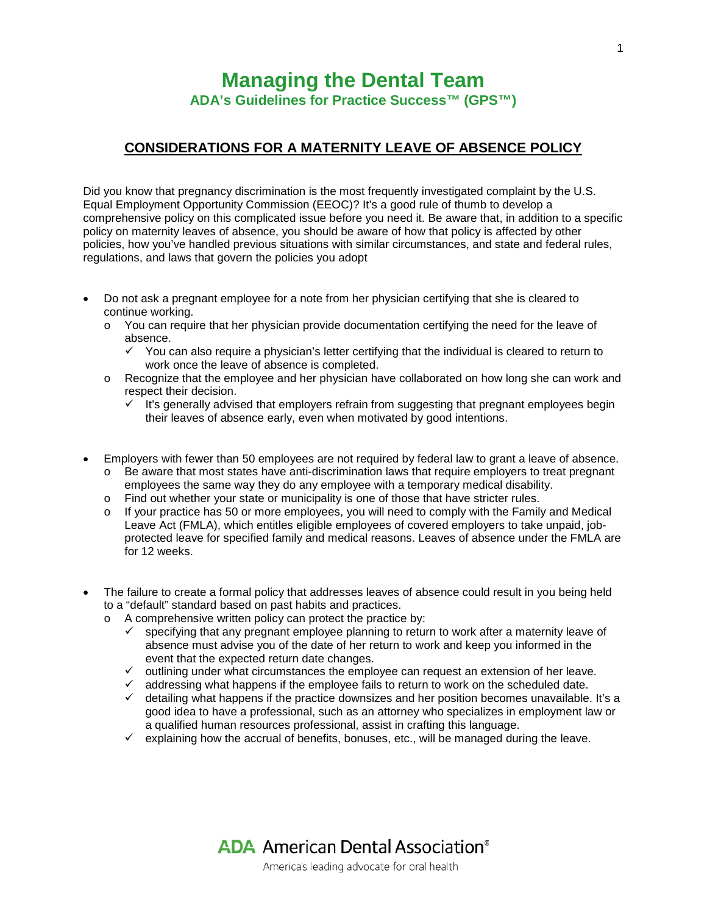## **Managing the Dental Team ADA's Guidelines for Practice Success™ (GPS™)**

## **CONSIDERATIONS FOR A MATERNITY LEAVE OF ABSENCE POLICY**

Did you know that pregnancy discrimination is the most frequently investigated complaint by the U.S. Equal Employment Opportunity Commission (EEOC)? It's a good rule of thumb to develop a comprehensive policy on this complicated issue before you need it. Be aware that, in addition to a specific policy on maternity leaves of absence, you should be aware of how that policy is affected by other policies, how you've handled previous situations with similar circumstances, and state and federal rules, regulations, and laws that govern the policies you adopt

- Do not ask a pregnant employee for a note from her physician certifying that she is cleared to continue working.
	- $\circ$  You can require that her physician provide documentation certifying the need for the leave of absence.
		- $\checkmark$  You can also require a physician's letter certifying that the individual is cleared to return to work once the leave of absence is completed.
	- o Recognize that the employee and her physician have collaborated on how long she can work and respect their decision.
		- $\checkmark$  It's generally advised that employers refrain from suggesting that pregnant employees begin their leaves of absence early, even when motivated by good intentions.
- Employers with fewer than 50 employees are not required by federal law to grant a leave of absence.
	- $\circ$  Be aware that most states have anti-discrimination laws that require employers to treat pregnant employees the same way they do any employee with a temporary medical disability.
	- o Find out whether your state or municipality is one of those that have stricter rules.
	- $\circ$  If your practice has 50 or more employees, you will need to comply with the Family and Medical Leave Act (FMLA), which entitles eligible employees of covered employers to take unpaid, jobprotected leave for specified family and medical reasons. Leaves of absence under the FMLA are for 12 weeks.
- The failure to create a formal policy that addresses leaves of absence could result in you being held to a "default" standard based on past habits and practices.
	- o A comprehensive written policy can protect the practice by:
		- $\checkmark$  specifying that any pregnant employee planning to return to work after a maternity leave of absence must advise you of the date of her return to work and keep you informed in the event that the expected return date changes.
		- $\checkmark$  outlining under what circumstances the employee can request an extension of her leave.
		- $\checkmark$  addressing what happens if the employee fails to return to work on the scheduled date.
		- $\checkmark$  detailing what happens if the practice downsizes and her position becomes unavailable. It's a good idea to have a professional, such as an attorney who specializes in employment law or a qualified human resources professional, assist in crafting this language.
		- $\checkmark$  explaining how the accrual of benefits, bonuses, etc., will be managed during the leave.